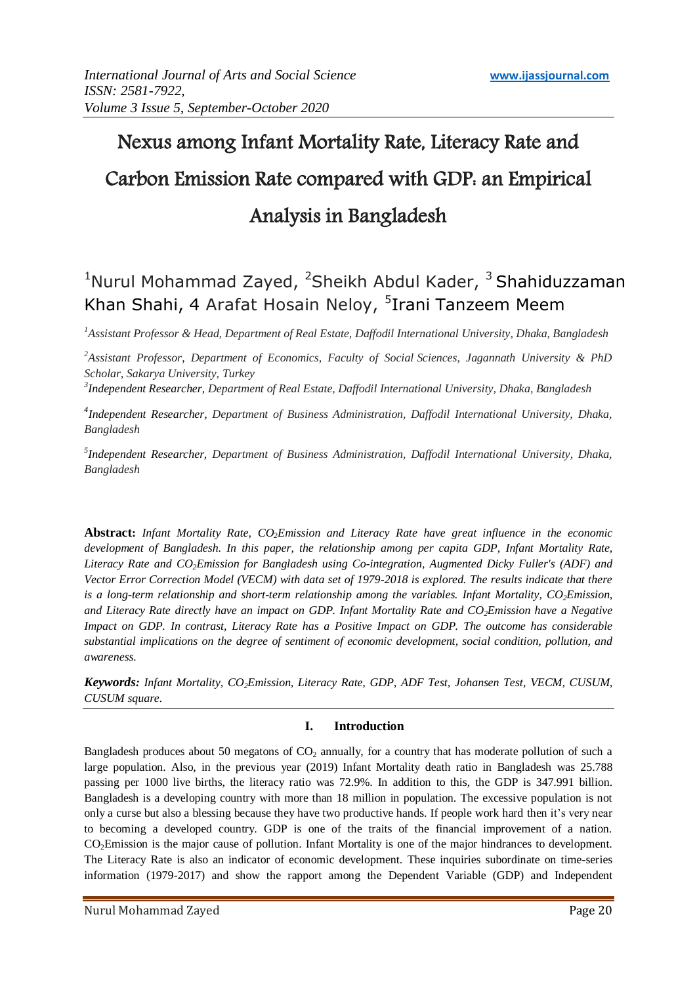# Nexus among Infant Mortality Rate, Literacy Rate and Carbon Emission Rate compared with GDP: an Empirical Analysis in Bangladesh

# <sup>1</sup>Nurul Mohammad Zayed, <sup>2</sup>Sheikh Abdul Kader, <sup>3</sup> Shahiduzzaman Khan Shahi, 4 Arafat Hosain Neloy, <sup>5</sup>Irani Tanzeem Meem

*<sup>1</sup>Assistant Professor & Head, Department of Real Estate, Daffodil International University, Dhaka, Bangladesh*

*<sup>2</sup>Assistant Professor, Department of Economics, Faculty of Social Sciences, Jagannath University & PhD Scholar, Sakarya University, Turkey*

*3 Independent Researcher, Department of Real Estate, Daffodil International University, Dhaka, Bangladesh*

*4 Independent Researcher, Department of Business Administration, Daffodil International University, Dhaka, Bangladesh*

*5 Independent Researcher, Department of Business Administration, Daffodil International University, Dhaka, Bangladesh*

**Abstract:** *Infant Mortality Rate, CO2Emission and Literacy Rate have great influence in the economic development of Bangladesh. In this paper, the relationship among per capita GDP, Infant Mortality Rate, Literacy Rate and CO2Emission for Bangladesh using Co-integration, Augmented Dicky Fuller's (ADF) and Vector Error Correction Model (VECM) with data set of 1979-2018 is explored. The results indicate that there is a long-term relationship and short-term relationship among the variables. Infant Mortality, CO2Emission, and Literacy Rate directly have an impact on GDP. Infant Mortality Rate and CO2Emission have a Negative Impact on GDP. In contrast, Literacy Rate has a Positive Impact on GDP. The outcome has considerable substantial implications on the degree of sentiment of economic development, social condition, pollution, and awareness.*

*Keywords: Infant Mortality, CO2Emission, Literacy Rate, GDP, ADF Test, Johansen Test, VECM, CUSUM, CUSUM square.* 

#### **I. Introduction**

Bangladesh produces about 50 megatons of  $CO<sub>2</sub>$  annually, for a country that has moderate pollution of such a large population. Also, in the previous year (2019) Infant Mortality death ratio in Bangladesh was 25.788 passing per 1000 live births, the literacy ratio was 72.9%. In addition to this, the GDP is 347.991 billion. Bangladesh is a developing country with more than 18 million in population. The excessive population is not only a curse but also a blessing because they have two productive hands. If people work hard then it's very near to becoming a developed country. GDP is one of the traits of the financial improvement of a nation. CO2Emission is the major cause of pollution. Infant Mortality is one of the major hindrances to development. The Literacy Rate is also an indicator of economic development. These inquiries subordinate on time-series information (1979-2017) and show the rapport among the Dependent Variable (GDP) and Independent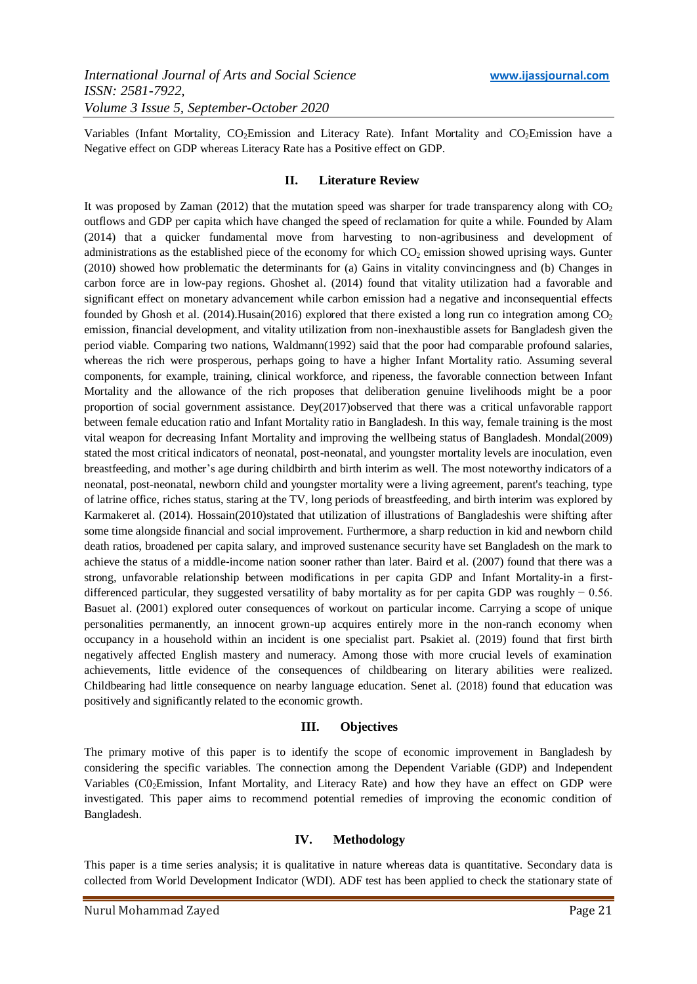Variables (Infant Mortality, CO<sub>2</sub>Emission and Literacy Rate). Infant Mortality and CO<sub>2</sub>Emission have a Negative effect on GDP whereas Literacy Rate has a Positive effect on GDP.

#### **II. Literature Review**

It was proposed by Zaman (2012) that the mutation speed was sharper for trade transparency along with  $CO<sub>2</sub>$ outflows and GDP per capita which have changed the speed of reclamation for quite a while. Founded by Alam (2014) that a quicker fundamental move from harvesting to non-agribusiness and development of administrations as the established piece of the economy for which CO<sub>2</sub> emission showed uprising ways. Gunter (2010) showed how problematic the determinants for (a) Gains in vitality convincingness and (b) Changes in carbon force are in low-pay regions. Ghoshet al. (2014) found that vitality utilization had a favorable and significant effect on monetary advancement while carbon emission had a negative and inconsequential effects founded by Ghosh et al. (2014). Husain(2016) explored that there existed a long run co integration among  $CO<sub>2</sub>$ emission, financial development, and vitality utilization from non-inexhaustible assets for Bangladesh given the period viable. Comparing two nations, Waldmann(1992) said that the poor had comparable profound salaries, whereas the rich were prosperous, perhaps going to have a higher Infant Mortality ratio. Assuming several components, for example, training, clinical workforce, and ripeness, the favorable connection between Infant Mortality and the allowance of the rich proposes that deliberation genuine livelihoods might be a poor proportion of social government assistance. Dey(2017)observed that there was a critical unfavorable rapport between female education ratio and Infant Mortality ratio in Bangladesh. In this way, female training is the most vital weapon for decreasing Infant Mortality and improving the wellbeing status of Bangladesh. Mondal(2009) stated the most critical indicators of neonatal, post-neonatal, and youngster mortality levels are inoculation, even breastfeeding, and mother's age during childbirth and birth interim as well. The most noteworthy indicators of a neonatal, post-neonatal, newborn child and youngster mortality were a living agreement, parent's teaching, type of latrine office, riches status, staring at the TV, long periods of breastfeeding, and birth interim was explored by Karmakeret al. (2014). Hossain(2010)stated that utilization of illustrations of Bangladeshis were shifting after some time alongside financial and social improvement. Furthermore, a sharp reduction in kid and newborn child death ratios, broadened per capita salary, and improved sustenance security have set Bangladesh on the mark to achieve the status of a middle‐income nation sooner rather than later. Baird et al. (2007) found that there was a strong, unfavorable relationship between modifications in per capita GDP and Infant Mortality-in a firstdifferenced particular, they suggested versatility of baby mortality as for per capita GDP was roughly − 0.56. Basuet al. (2001) explored outer consequences of workout on particular income. Carrying a scope of unique personalities permanently, an innocent grown-up acquires entirely more in the non-ranch economy when occupancy in a household within an incident is one specialist part. Psakiet al. (2019) found that first birth negatively affected English mastery and numeracy. Among those with more crucial levels of examination achievements, little evidence of the consequences of childbearing on literary abilities were realized. Childbearing had little consequence on nearby language education. Senet al. (2018) found that education was positively and significantly related to the economic growth.

#### **III. Objectives**

The primary motive of this paper is to identify the scope of economic improvement in Bangladesh by considering the specific variables. The connection among the Dependent Variable (GDP) and Independent Variables (CO<sub>2</sub>Emission, Infant Mortality, and Literacy Rate) and how they have an effect on GDP were investigated. This paper aims to recommend potential remedies of improving the economic condition of Bangladesh.

#### **IV. Methodology**

This paper is a time series analysis; it is qualitative in nature whereas data is quantitative. Secondary data is collected from World Development Indicator (WDI). ADF test has been applied to check the stationary state of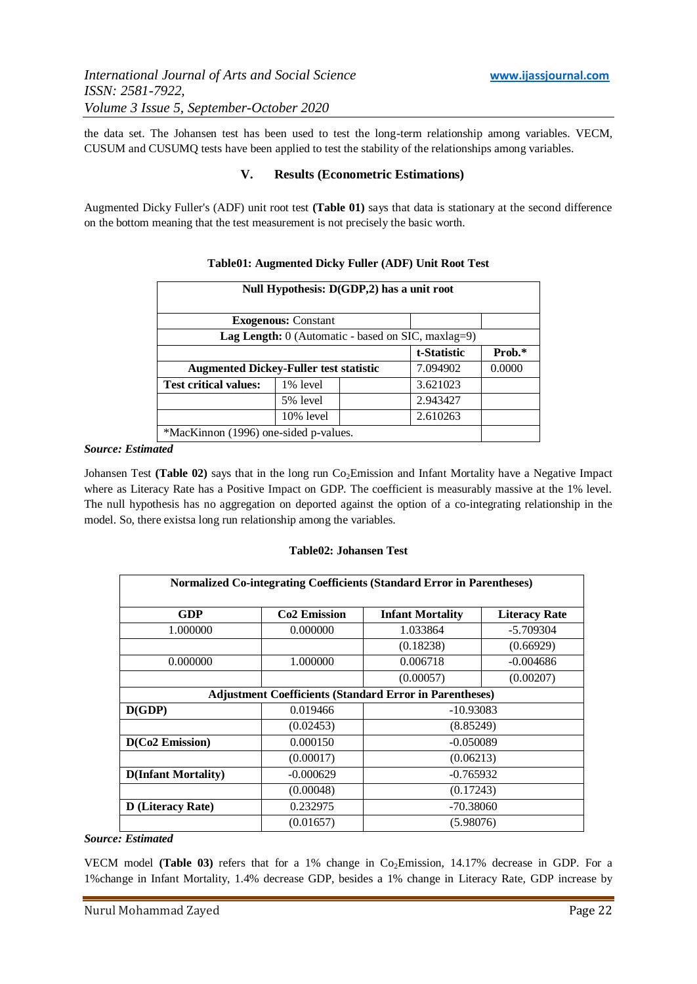the data set. The Johansen test has been used to test the long-term relationship among variables. VECM, CUSUM and CUSUMQ tests have been applied to test the stability of the relationships among variables.

### **V. Results (Econometric Estimations)**

Augmented Dicky Fuller's (ADF) unit root test **(Table 01)** says that data is stationary at the second difference on the bottom meaning that the test measurement is not precisely the basic worth.

| Null Hypothesis: D(GDP,2) has a unit root                   |                            |  |             |        |  |
|-------------------------------------------------------------|----------------------------|--|-------------|--------|--|
|                                                             | <b>Exogenous: Constant</b> |  |             |        |  |
| <b>Lag Length:</b> $0$ (Automatic - based on SIC, maxlag=9) |                            |  |             |        |  |
|                                                             |                            |  | t-Statistic | Prob.* |  |
| 7.094902<br><b>Augmented Dickey-Fuller test statistic</b>   |                            |  |             | 0.0000 |  |
| <b>Test critical values:</b>                                | 1% level                   |  | 3.621023    |        |  |
|                                                             | 5% level                   |  | 2.943427    |        |  |
|                                                             | $10\%$ level               |  | 2.610263    |        |  |
| *MacKinnon (1996) one-sided p-values.                       |                            |  |             |        |  |

## **Table01: Augmented Dicky Fuller (ADF) Unit Root Test**

#### *Source: Estimated*

Johansen Test (Table 02) says that in the long run Co<sub>2</sub>Emission and Infant Mortality have a Negative Impact where as Literacy Rate has a Positive Impact on GDP. The coefficient is measurably massive at the 1% level. The null hypothesis has no aggregation on deported against the option of a co-integrating relationship in the model. So, there existsa long run relationship among the variables.

#### **Table02: Johansen Test**

| Normalized Co-integrating Coefficients (Standard Error in Parentheses) |                          |                         |                      |  |  |
|------------------------------------------------------------------------|--------------------------|-------------------------|----------------------|--|--|
| GDP                                                                    | Co <sub>2</sub> Emission | <b>Infant Mortality</b> | <b>Literacy Rate</b> |  |  |
| 1.000000                                                               | 0.000000                 | 1.033864                | $-5.709304$          |  |  |
|                                                                        |                          | (0.18238)               | (0.66929)            |  |  |
| 0.000000                                                               | 1.000000                 | 0.006718                | $-0.004686$          |  |  |
|                                                                        |                          | (0.00057)               | (0.00207)            |  |  |
| <b>Adjustment Coefficients (Standard Error in Parentheses)</b>         |                          |                         |                      |  |  |
| D(GDP)                                                                 | 0.019466                 | $-10.93083$             |                      |  |  |
|                                                                        | (0.02453)                | (8.85249)               |                      |  |  |
| D(Co2 Emission)                                                        | 0.000150                 | $-0.050089$             |                      |  |  |
|                                                                        | (0.00017)                | (0.06213)               |                      |  |  |
| <b>D</b> (Infant Mortality)                                            | $-0.000629$              | $-0.765932$             |                      |  |  |
|                                                                        | (0.00048)                | (0.17243)               |                      |  |  |
| <b>D</b> (Literacy Rate)                                               | 0.232975                 | $-70.38060$             |                      |  |  |
|                                                                        | (0.01657)                | (5.98076)               |                      |  |  |

#### *Source: Estimated*

VECM model (Table 03) refers that for a 1% change in Co<sub>2</sub>Emission, 14.17% decrease in GDP. For a 1%change in Infant Mortality, 1.4% decrease GDP, besides a 1% change in Literacy Rate, GDP increase by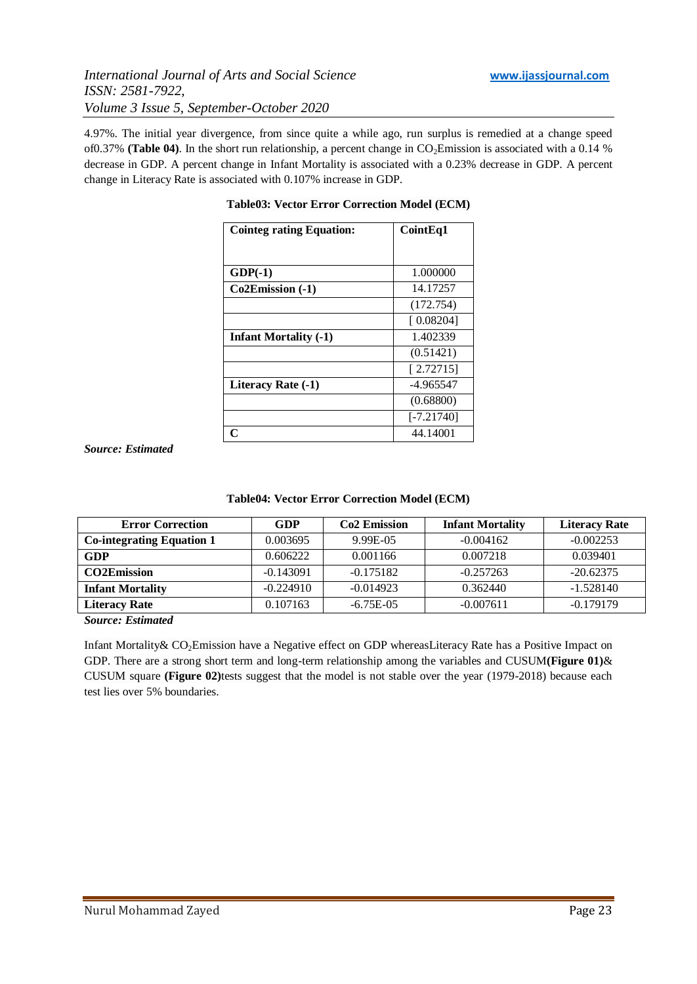4.97%. The initial year divergence, from since quite a while ago, run surplus is remedied at a change speed of0.37% **(Table 04)**. In the short run relationship, a percent change in  $CO<sub>2</sub>Emission$  is associated with a 0.14 % decrease in GDP. A percent change in Infant Mortality is associated with a 0.23% decrease in GDP. A percent change in Literacy Rate is associated with 0.107% increase in GDP.

| <b>Cointeg rating Equation:</b> | Coint Eq1    |
|---------------------------------|--------------|
|                                 |              |
| $GDP(-1)$                       | 1.000000     |
| Co2Emission (-1)                | 14.17257     |
|                                 | (172.754)    |
|                                 | [0.08204]    |
| <b>Infant Mortality (-1)</b>    | 1.402339     |
|                                 | (0.51421)    |
|                                 | [2.72715]    |
| Literacy Rate (-1)              | -4.965547    |
|                                 | (0.68800)    |
|                                 | $[-7.21740]$ |
| Ր                               | 44.14001     |

**Table03: Vector Error Correction Model (ECM)**

*Source: Estimated*

|  | Table04: Vector Error Correction Model (ECM) |  |
|--|----------------------------------------------|--|
|  |                                              |  |

| <b>Error Correction</b>          | <b>GDP</b>  | <b>Co<sub>2</sub></b> Emission | <b>Infant Mortality</b> | <b>Literacy Rate</b> |
|----------------------------------|-------------|--------------------------------|-------------------------|----------------------|
| <b>Co-integrating Equation 1</b> | 0.003695    | 9.99E-05                       | $-0.004162$             | $-0.002253$          |
| GDP                              | 0.606222    | 0.001166                       | 0.007218                | 0.039401             |
| <b>CO2Emission</b>               | $-0.143091$ | $-0.175182$                    | $-0.257263$             | $-20.62375$          |
| <b>Infant Mortality</b>          | $-0.224910$ | $-0.014923$                    | 0.362440                | $-1.528140$          |
| Literacy Rate                    | 0.107163    | $-6.75E-0.5$                   | $-0.007611$             | $-0.179179$          |

*Source: Estimated*

Infant Mortality& CO2Emission have a Negative effect on GDP whereasLiteracy Rate has a Positive Impact on GDP. There are a strong short term and long-term relationship among the variables and CUSUM**(Figure 01)**& CUSUM square **(Figure 02)**tests suggest that the model is not stable over the year (1979-2018) because each test lies over 5% boundaries.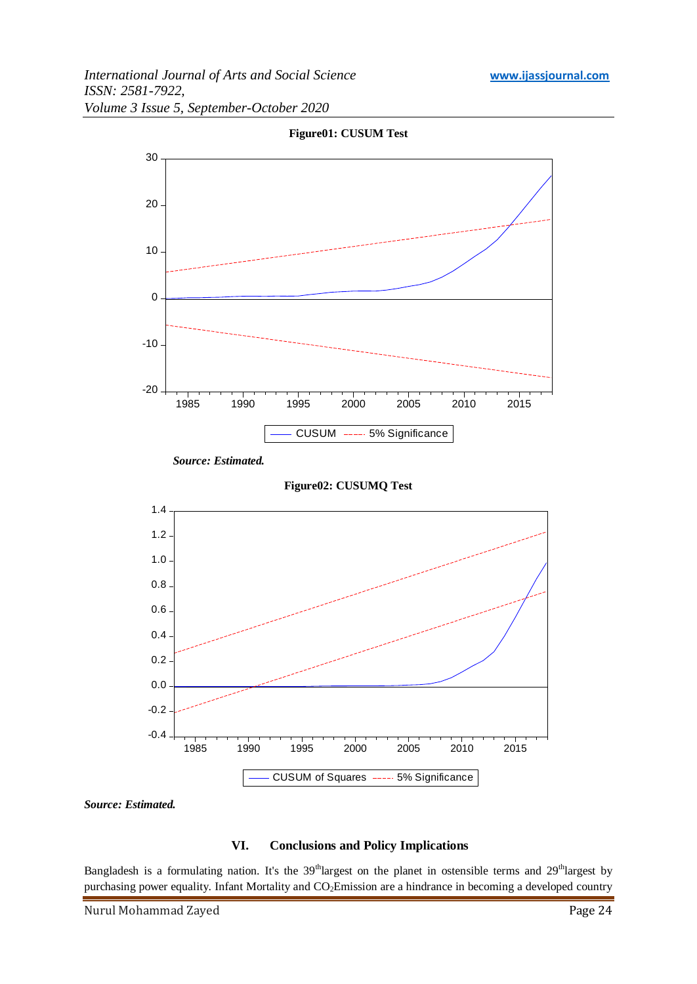

**Figure01: CUSUM Test**

*Source: Estimated.*

# **VI. Conclusions and Policy Implications**

Bangladesh is a formulating nation. It's the 39<sup>th</sup>largest on the planet in ostensible terms and 29<sup>th</sup>largest by purchasing power equality. Infant Mortality and CO<sub>2</sub>Emission are a hindrance in becoming a developed country